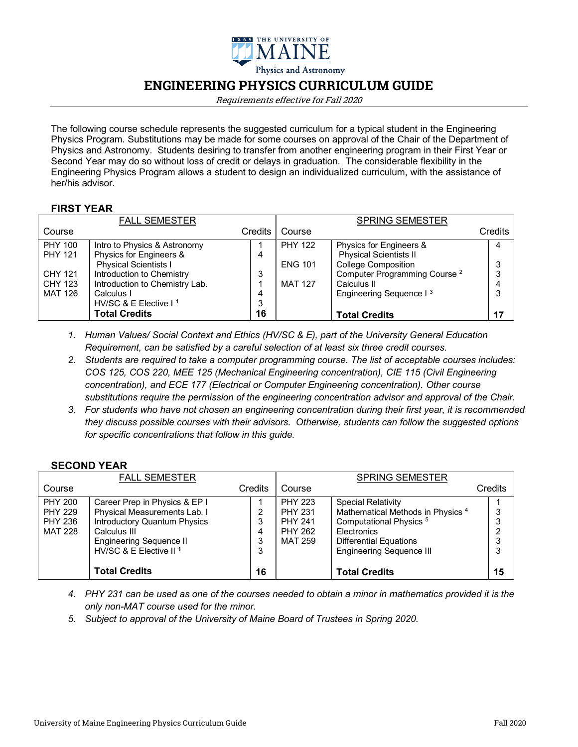

# **ENGINEERING PHYSICS CURRICULUM GUIDE**

Requirements effective for Fall 2020

The following course schedule represents the suggested curriculum for a typical student in the Engineering Physics Program. Substitutions may be made for some courses on approval of the Chair of the Department of Physics and Astronomy. Students desiring to transfer from another engineering program in their First Year or Second Year may do so without loss of credit or delays in graduation. The considerable flexibility in the Engineering Physics Program allows a student to design an individualized curriculum, with the assistance of her/his advisor.

#### **FIRST YEAR**

|                | <b>FALL SEMESTER</b>           |         |                | <b>SPRING SEMESTER</b>                   |         |
|----------------|--------------------------------|---------|----------------|------------------------------------------|---------|
| Course         |                                | Credits | Course         |                                          | Credits |
| <b>PHY 100</b> | Intro to Physics & Astronomy   |         | <b>PHY 122</b> | Physics for Engineers &                  | 4       |
| <b>PHY 121</b> | Physics for Engineers &        | 4       |                | <b>Physical Scientists II</b>            |         |
|                | <b>Physical Scientists I</b>   |         | <b>ENG 101</b> | <b>College Composition</b>               | 3       |
| CHY 121        | Introduction to Chemistry      | 3       |                | Computer Programming Course <sup>2</sup> | 3       |
| <b>CHY 123</b> | Introduction to Chemistry Lab. |         | <b>MAT 127</b> | Calculus II                              | 4       |
| MAT 126        | Calculus I                     | 4       |                | Engineering Sequence I <sup>3</sup>      | 3       |
|                | HV/SC & E Elective $11$        | 3       |                |                                          |         |
|                | <b>Total Credits</b>           | 16      |                | <b>Total Credits</b>                     | 17      |

- *1. Human Values/ Social Context and Ethics (HV/SC & E), part of the University General Education Requirement, can be satisfied by a careful selection of at least six three credit courses.*
- *2. Students are required to take a computer programming course. The list of acceptable courses includes: COS 125, COS 220, MEE 125 (Mechanical Engineering concentration), CIE 115 (Civil Engineering concentration), and ECE 177 (Electrical or Computer Engineering concentration). Other course substitutions require the permission of the engineering concentration advisor and approval of the Chair.*
- *3. For students who have not chosen an engineering concentration during their first year, it is recommended they discuss possible courses with their advisors. Otherwise, students can follow the suggested options for specific concentrations that follow in this guide.*

#### **SECOND YEAR**

|                | <b>FALL SEMESTER</b>                |         |                | <b>SPRING SEMESTER</b>                       |         |
|----------------|-------------------------------------|---------|----------------|----------------------------------------------|---------|
| Course         |                                     | Credits | Course         |                                              | Credits |
| <b>PHY 200</b> | Career Prep in Physics & EP I       |         | <b>PHY 223</b> | <b>Special Relativity</b>                    |         |
| <b>PHY 229</b> | Physical Measurements Lab. I        |         | <b>PHY 231</b> | Mathematical Methods in Physics <sup>4</sup> | 3       |
| PHY 236        | <b>Introductory Quantum Physics</b> |         | <b>PHY 241</b> | Computational Physics <sup>5</sup>           | 3       |
| MAT 228        | Calculus III                        |         | <b>PHY 262</b> | <b>Electronics</b>                           | ົ       |
|                | <b>Engineering Sequence II</b>      |         | MAT 259        | <b>Differential Equations</b>                | 3       |
|                | HV/SC & E Elective II <sup>1</sup>  | 3       |                | <b>Engineering Sequence III</b>              | 3       |
|                |                                     |         |                |                                              |         |
|                | <b>Total Credits</b>                | 16      |                | <b>Total Credits</b>                         | 15      |

- *4. PHY 231 can be used as one of the courses needed to obtain a minor in mathematics provided it is the only non-MAT course used for the minor.*
- *5. Subject to approval of the University of Maine Board of Trustees in Spring 2020.*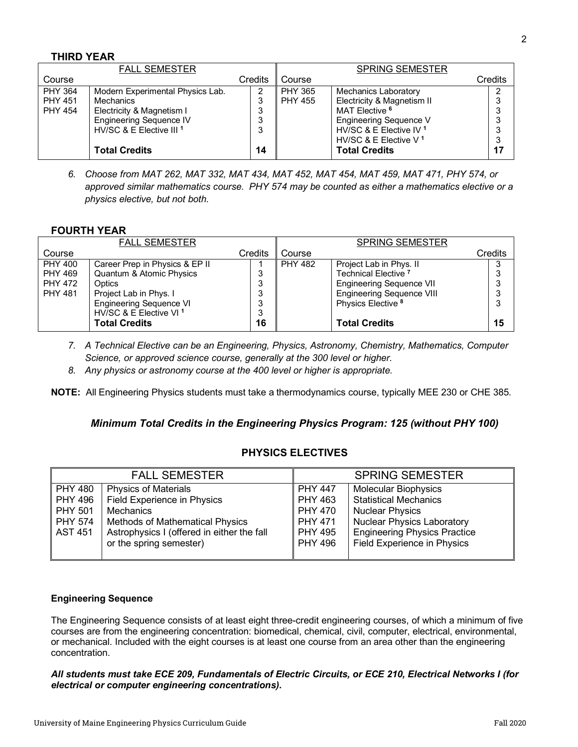## **THIRD YEAR**

|                | <b>FALL SEMESTER</b>                |         |                | <b>SPRING SEMESTER</b>             |         |    |
|----------------|-------------------------------------|---------|----------------|------------------------------------|---------|----|
| Course         |                                     | Credits | Course         |                                    | Credits |    |
| <b>PHY 364</b> | Modern Experimental Physics Lab.    | 2       | <b>PHY 365</b> | <b>Mechanics Laboratory</b>        |         |    |
| <b>PHY 451</b> | Mechanics                           | 3       | <b>PHY 455</b> | Electricity & Magnetism II         |         | 3  |
| <b>PHY 454</b> | Electricity & Magnetism I           | ົ<br>ມ  |                | MAT Elective <sup>6</sup>          |         | 3  |
|                | Engineering Sequence IV             | ົ       |                | <b>Engineering Sequence V</b>      |         | 3  |
|                | HV/SC & E Elective III <sup>1</sup> | 3       |                | HV/SC & E Elective IV <sup>1</sup> |         | 3  |
|                |                                     |         |                | HV/SC & E Elective V <sup>1</sup>  |         | 3  |
|                | <b>Total Credits</b>                | 14      |                | <b>Total Credits</b>               |         | 17 |

*6. Choose from MAT 262, MAT 332, MAT 434, MAT 452, MAT 454, MAT 459, MAT 471, PHY 574, or approved similar mathematics course. PHY 574 may be counted as either a mathematics elective or a physics elective, but not both.*

## **FOURTH YEAR**

|                | <b>FALL SEMESTER</b>               |         |                | <b>SPRING SEMESTER</b>           |         |
|----------------|------------------------------------|---------|----------------|----------------------------------|---------|
| Course         |                                    | Credits | Course         |                                  | Credits |
| <b>PHY 400</b> | Career Prep in Physics & EP II     |         | <b>PHY 482</b> | Project Lab in Phys. II          | 3       |
| <b>PHY 469</b> | Quantum & Atomic Physics           |         |                | Technical Elective <sup>7</sup>  | 3       |
| <b>PHY 472</b> | Optics                             |         |                | Engineering Sequence VII         | 3       |
| <b>PHY 481</b> | Project Lab in Phys. I             |         |                | <b>Engineering Sequence VIII</b> | 3       |
|                | <b>Engineering Sequence VI</b>     |         |                | Physics Elective <sup>8</sup>    | 3       |
|                | HV/SC & E Elective VI <sup>1</sup> | J       |                |                                  |         |
|                | <b>Total Credits</b>               | 16      |                | <b>Total Credits</b>             | 15      |

- *7. A Technical Elective can be an Engineering, Physics, Astronomy, Chemistry, Mathematics, Computer Science, or approved science course, generally at the 300 level or higher.*
- *8. Any physics or astronomy course at the 400 level or higher is appropriate.*

**NOTE:** All Engineering Physics students must take a thermodynamics course, typically MEE 230 or CHE 385.

#### *Minimum Total Credits in the Engineering Physics Program: 125 (without PHY 100)*

#### **PHYSICS ELECTIVES**

| <b>FALL SEMESTER</b> |                                            |                | <b>SPRING SEMESTER</b>              |
|----------------------|--------------------------------------------|----------------|-------------------------------------|
| <b>PHY 480</b>       | <b>Physics of Materials</b>                | <b>PHY 447</b> | <b>Molecular Biophysics</b>         |
| <b>PHY 496</b>       | Field Experience in Physics                | PHY 463        | <b>Statistical Mechanics</b>        |
| <b>PHY 501</b>       | Mechanics                                  | <b>PHY 470</b> | <b>Nuclear Physics</b>              |
| <b>PHY 574</b>       | <b>Methods of Mathematical Physics</b>     | <b>PHY 471</b> | <b>Nuclear Physics Laboratory</b>   |
| <b>AST 451</b>       | Astrophysics I (offered in either the fall | <b>PHY 495</b> | <b>Engineering Physics Practice</b> |
|                      | or the spring semester)                    | <b>PHY 496</b> | <b>Field Experience in Physics</b>  |
|                      |                                            |                |                                     |

#### **Engineering Sequence**

The Engineering Sequence consists of at least eight three-credit engineering courses, of which a minimum of five courses are from the engineering concentration: biomedical, chemical, civil, computer, electrical, environmental, or mechanical. Included with the eight courses is at least one course from an area other than the engineering concentration.

*All students must take ECE 209, Fundamentals of Electric Circuits, or ECE 210, Electrical Networks I (for electrical or computer engineering concentrations).*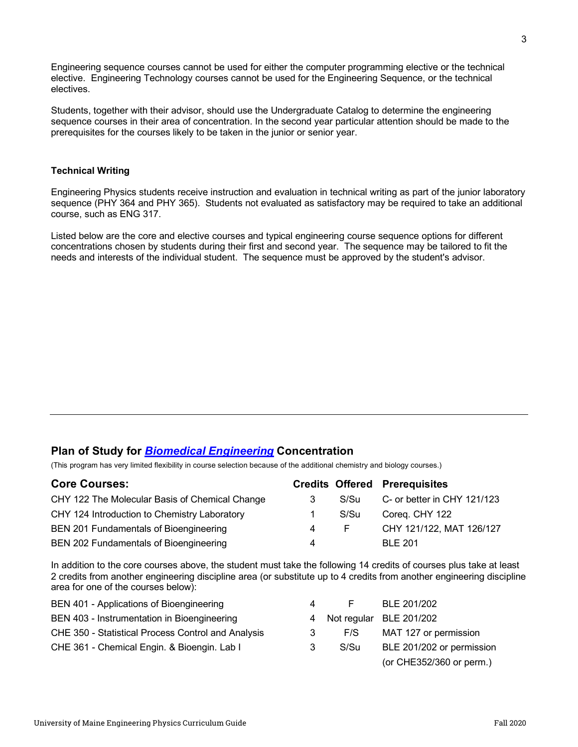Engineering sequence courses cannot be used for either the computer programming elective or the technical elective. Engineering Technology courses cannot be used for the Engineering Sequence, or the technical electives.

Students, together with their advisor, should use the Undergraduate Catalog to determine the engineering sequence courses in their area of concentration. In the second year particular attention should be made to the prerequisites for the courses likely to be taken in the junior or senior year.

#### **Technical Writing**

Engineering Physics students receive instruction and evaluation in technical writing as part of the junior laboratory sequence (PHY 364 and PHY 365). Students not evaluated as satisfactory may be required to take an additional course, such as ENG 317.

Listed below are the core and elective courses and typical engineering course sequence options for different concentrations chosen by students during their first and second year. The sequence may be tailored to fit the needs and interests of the individual student. The sequence must be approved by the student's advisor.

# **Plan of Study for** *Biomedical Engineering* **Concentration**

(This program has very limited flexibility in course selection because of the additional chemistry and biology courses.)

| <b>Core Courses:</b>                           |   |      | <b>Credits Offered Prerequisites</b> |
|------------------------------------------------|---|------|--------------------------------------|
| CHY 122 The Molecular Basis of Chemical Change |   | S/Su | C- or better in CHY 121/123          |
| CHY 124 Introduction to Chemistry Laboratory   |   | S/Su | Coreg. CHY 122                       |
| BEN 201 Fundamentals of Bioengineering         | 4 | E.   | CHY 121/122, MAT 126/127             |
| BEN 202 Fundamentals of Bioengineering         | 4 |      | <b>BLE 201</b>                       |

In addition to the core courses above, the student must take the following 14 credits of courses plus take at least 2 credits from another engineering discipline area (or substitute up to 4 credits from another engineering discipline area for one of the courses below):

| BEN 401 - Applications of Bioengineering           | 4 | F.   | BLE 201/202               |
|----------------------------------------------------|---|------|---------------------------|
| BEN 403 - Instrumentation in Bioengineering        |   |      | 4 Not regular BLE 201/202 |
| CHE 350 - Statistical Process Control and Analysis |   | F/S  | MAT 127 or permission     |
| CHE 361 - Chemical Engin. & Bioengin. Lab I        | 3 | S/Su | BLE 201/202 or permission |
|                                                    |   |      | (or CHE352/360 or perm.)  |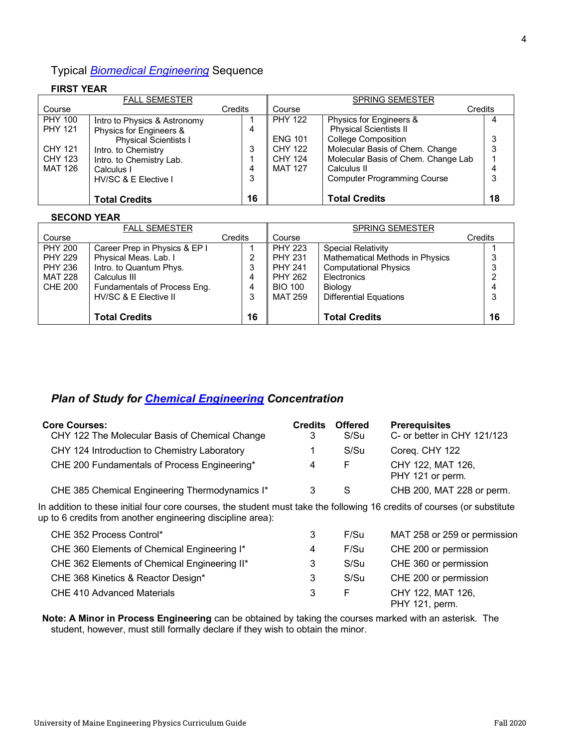# Typical *Biomedical Engineering* Sequence

## **FIRST YEAR**

| <b>FALL SEMESTER</b> |                              |    | <b>SPRING SEMESTER</b> |                                     |    |
|----------------------|------------------------------|----|------------------------|-------------------------------------|----|
| Course               | Credits                      |    | Course                 | Credits                             |    |
| <b>PHY 100</b>       | Intro to Physics & Astronomy |    | <b>PHY 122</b>         | Physics for Engineers &             |    |
| <b>PHY 121</b>       | Physics for Engineers &      | 4  |                        | <b>Physical Scientists II</b>       |    |
|                      | <b>Physical Scientists I</b> |    | <b>ENG 101</b>         | <b>College Composition</b>          |    |
| CHY 121              | Intro. to Chemistry          | 3  | <b>CHY 122</b>         | Molecular Basis of Chem. Change     | 3  |
| CHY 123              | Intro. to Chemistry Lab.     |    | CHY 124                | Molecular Basis of Chem. Change Lab |    |
| MAT 126              | Calculus I                   | 4  | <b>MAT 127</b>         | Calculus II                         |    |
|                      | HV/SC & E Elective I         | 3  |                        | <b>Computer Programming Course</b>  | 3  |
|                      |                              |    |                        |                                     |    |
|                      | <b>Total Credits</b>         | 16 |                        | <b>Total Credits</b>                | 18 |

#### **SECOND YEAR**

| <b>FALL SEMESTER</b> |                               |         | <b>SPRING SEMESTER</b> |                                 |         |  |
|----------------------|-------------------------------|---------|------------------------|---------------------------------|---------|--|
| Course               |                               | Credits | Course                 |                                 | Credits |  |
| <b>PHY 200</b>       | Career Prep in Physics & EP I |         | <b>PHY 223</b>         | <b>Special Relativity</b>       |         |  |
| <b>PHY 229</b>       | Physical Meas. Lab. I         | 2       | <b>PHY 231</b>         | Mathematical Methods in Physics |         |  |
| <b>PHY 236</b>       | Intro. to Quantum Phys.       | 3       | <b>PHY 241</b>         | <b>Computational Physics</b>    |         |  |
| MAT 228              | Calculus III                  | 4       | <b>PHY 262</b>         | Electronics                     |         |  |
| <b>CHE 200</b>       | Fundamentals of Process Eng.  | 4       | <b>BIO 100</b>         | Biology                         |         |  |
|                      | HV/SC & E Elective II         | 3       | <b>MAT 259</b>         | <b>Differential Equations</b>   |         |  |
|                      |                               |         |                        |                                 |         |  |
|                      | <b>Total Credits</b>          | 16      |                        | <b>Total Credits</b>            | 16      |  |

# *Plan of Study for Chemical Engineering Concentration*

| <b>Core Courses:</b><br>CHY 122 The Molecular Basis of Chemical Change | <b>Credits</b> | <b>Offered</b><br>S/Su | <b>Prerequisites</b><br>C- or better in CHY 121/123 |
|------------------------------------------------------------------------|----------------|------------------------|-----------------------------------------------------|
| CHY 124 Introduction to Chemistry Laboratory                           |                | S/Su                   | Coreg. CHY 122                                      |
| CHE 200 Fundamentals of Process Engineering*                           | 4              | F                      | CHY 122, MAT 126,<br>PHY 121 or perm.               |
| CHE 385 Chemical Engineering Thermodynamics I*                         |                | S                      | CHB 200, MAT 228 or perm.                           |

In addition to these initial four core courses, the student must take the following 16 credits of courses (or substitute up to 6 credits from another engineering discipline area):

| CHE 352 Process Control*                     | 3 | F/Su | MAT 258 or 259 or permission        |
|----------------------------------------------|---|------|-------------------------------------|
| CHE 360 Elements of Chemical Engineering I*  | 4 | F/Su | CHE 200 or permission               |
| CHE 362 Elements of Chemical Engineering II* | 3 | S/Su | CHE 360 or permission               |
| CHE 368 Kinetics & Reactor Design*           | 3 | S/Su | CHE 200 or permission               |
| <b>CHE 410 Advanced Materials</b>            | 3 | F.   | CHY 122, MAT 126,<br>PHY 121, perm. |

**Note: A Minor in Process Engineering** can be obtained by taking the courses marked with an asterisk. The student, however, must still formally declare if they wish to obtain the minor.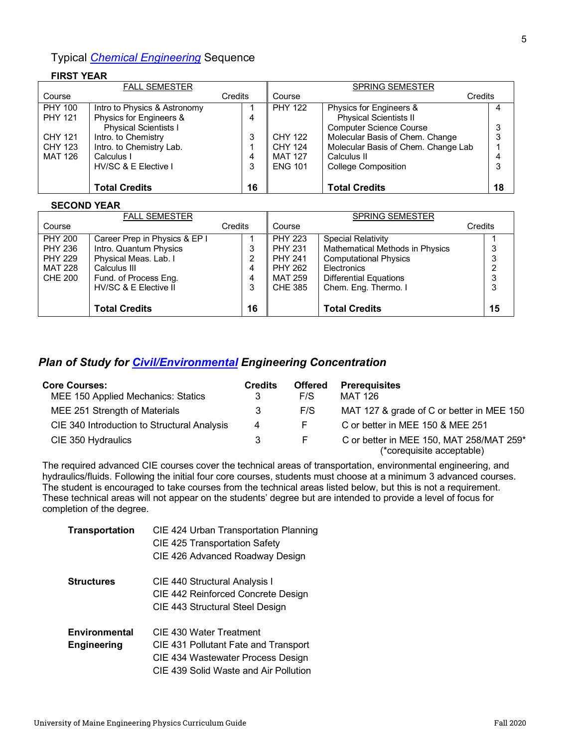# Typical *Chemical Engineering* Sequence

#### **FIRST YEAR**

| <b>FALL SEMESTER</b> |                              |    | <b>SPRING SEMESTER</b> |                                     |    |  |
|----------------------|------------------------------|----|------------------------|-------------------------------------|----|--|
| Course               | Credits                      |    | Course                 | Credits                             |    |  |
| <b>PHY 100</b>       | Intro to Physics & Astronomy |    | <b>PHY 122</b>         | Physics for Engineers &             | 4  |  |
| <b>PHY 121</b>       | Physics for Engineers &      | 4  |                        | <b>Physical Scientists II</b>       |    |  |
|                      | <b>Physical Scientists I</b> |    |                        | <b>Computer Science Course</b>      | 3  |  |
| <b>CHY 121</b>       | Intro. to Chemistry          | 3  | CHY 122                | Molecular Basis of Chem. Change     | 3  |  |
| <b>CHY 123</b>       | Intro. to Chemistry Lab.     |    | CHY 124                | Molecular Basis of Chem. Change Lab |    |  |
| <b>MAT 126</b>       | Calculus I                   | 4  | <b>MAT 127</b>         | Calculus II                         | 4  |  |
|                      | HV/SC & E Elective I         | 3  | <b>ENG 101</b>         | <b>College Composition</b>          | 3  |  |
|                      |                              |    |                        |                                     |    |  |
|                      | <b>Total Credits</b>         | 16 |                        | <b>Total Credits</b>                | 18 |  |

#### **SECOND YEAR**

|                | <b>FALL SEMESTER</b>          |         |                | <b>SPRING SEMESTER</b>          |         |
|----------------|-------------------------------|---------|----------------|---------------------------------|---------|
| Course         |                               | Credits | Course         |                                 | Credits |
| <b>PHY 200</b> | Career Prep in Physics & EP I |         | <b>PHY 223</b> | <b>Special Relativity</b>       |         |
| PHY 236        | Intro. Quantum Physics        | 3       | <b>PHY 231</b> | Mathematical Methods in Physics |         |
| <b>PHY 229</b> | Physical Meas. Lab. I         | 2       | <b>PHY 241</b> | <b>Computational Physics</b>    |         |
| MAT 228        | Calculus III                  | 4       | <b>PHY 262</b> | Electronics                     |         |
| CHE 200        | Fund. of Process Eng.         | 4       | MAT 259        | <b>Differential Equations</b>   |         |
|                | HV/SC & E Elective II         | 3       | CHE 385        | Chem. Eng. Thermo. I            |         |
|                |                               |         |                |                                 |         |
|                | <b>Total Credits</b>          | 16      |                | <b>Total Credits</b>            | 15      |

# *Plan of Study for Civil/Environmental Engineering Concentration*

| <b>Core Courses:</b><br>MEE 150 Applied Mechanics: Statics | <b>Credits</b><br>3 | <b>Offered</b><br>F/S | <b>Prerequisites</b><br>MAT 126                                       |
|------------------------------------------------------------|---------------------|-----------------------|-----------------------------------------------------------------------|
| MEE 251 Strength of Materials                              | 3                   | F/S                   | MAT 127 & grade of C or better in MEE 150                             |
| CIE 340 Introduction to Structural Analysis                | 4                   | F                     | C or better in MEE 150 & MEE 251                                      |
| CIE 350 Hydraulics                                         | 3                   | F.                    | C or better in MEE 150, MAT 258/MAT 259*<br>(*corequisite acceptable) |

The required advanced CIE courses cover the technical areas of transportation, environmental engineering, and hydraulics/fluids. Following the initial four core courses, students must choose at a minimum 3 advanced courses. The student is encouraged to take courses from the technical areas listed below, but this is not a requirement. These technical areas will not appear on the students' degree but are intended to provide a level of focus for completion of the degree.

| <b>Transportation</b> | CIE 424 Urban Transportation Planning |  |  |  |  |  |
|-----------------------|---------------------------------------|--|--|--|--|--|
|                       | CIE 425 Transportation Safety         |  |  |  |  |  |
|                       | CIE 426 Advanced Roadway Design       |  |  |  |  |  |
| <b>Structures</b>     | CIE 440 Structural Analysis I         |  |  |  |  |  |
|                       | CIE 442 Reinforced Concrete Design    |  |  |  |  |  |
|                       | CIE 443 Structural Steel Design       |  |  |  |  |  |
| Environmental         | CIE 430 Water Treatment               |  |  |  |  |  |
| Engineering           | CIE 431 Pollutant Fate and Transport  |  |  |  |  |  |
|                       | CIE 434 Wastewater Process Design     |  |  |  |  |  |
|                       | CIE 439 Solid Waste and Air Pollution |  |  |  |  |  |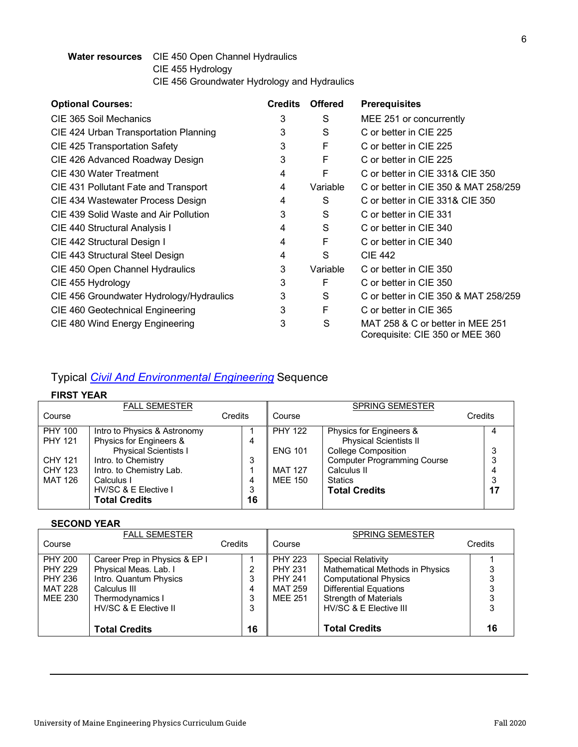## **Water resources** CIE 450 Open Channel Hydraulics CIE 455 Hydrology CIE 456 Groundwater Hydrology and Hydraulics

| <b>Optional Courses:</b>                 | <b>Credits</b> | <b>Offered</b> | <b>Prerequisites</b>                                                |
|------------------------------------------|----------------|----------------|---------------------------------------------------------------------|
| CIE 365 Soil Mechanics                   | 3              | S              | MEE 251 or concurrently                                             |
| CIE 424 Urban Transportation Planning    | 3              | S              | C or better in CIE 225                                              |
| CIE 425 Transportation Safety            | 3              | F              | C or better in CIE 225                                              |
| CIE 426 Advanced Roadway Design          | 3              | F              | C or better in CIE 225                                              |
| CIE 430 Water Treatment                  | 4              | F              | C or better in CIE 331& CIE 350                                     |
| CIE 431 Pollutant Fate and Transport     | 4              | Variable       | C or better in CIE 350 & MAT 258/259                                |
| CIE 434 Wastewater Process Design        | 4              | S              | C or better in CIE 331& CIE 350                                     |
| CIE 439 Solid Waste and Air Pollution    | 3              | S              | C or better in CIE 331                                              |
| CIE 440 Structural Analysis I            | 4              | S              | C or better in CIE 340                                              |
| CIE 442 Structural Design I              | 4              | F              | C or better in CIE 340                                              |
| CIE 443 Structural Steel Design          | 4              | S              | <b>CIE 442</b>                                                      |
| CIE 450 Open Channel Hydraulics          | 3              | Variable       | C or better in CIE 350                                              |
| CIE 455 Hydrology                        | 3              | F              | C or better in CIE 350                                              |
| CIE 456 Groundwater Hydrology/Hydraulics | 3              | S              | C or better in CIE 350 & MAT 258/259                                |
| CIE 460 Geotechnical Engineering         | 3              | F              | C or better in CIE 365                                              |
| CIE 480 Wind Energy Engineering          | 3              | S              | MAT 258 & C or better in MEE 251<br>Corequisite: CIE 350 or MEE 360 |

# Typical *Civil And Environmental Engineering* Sequence

## **FIRST YEAR**

|                                             | <b>FALL SEMESTER</b>                                                                                          |                   |                                  | <b>SPRING SEMESTER</b>                                                                      |         |
|---------------------------------------------|---------------------------------------------------------------------------------------------------------------|-------------------|----------------------------------|---------------------------------------------------------------------------------------------|---------|
| Course                                      |                                                                                                               | Credits           | Course                           |                                                                                             | Credits |
| <b>PHY 100</b><br><b>PHY 121</b>            | Intro to Physics & Astronomy<br>Physics for Engineers &<br><b>Physical Scientists I</b>                       | 4                 | <b>PHY 122</b><br><b>ENG 101</b> | Physics for Engineers &<br><b>Physical Scientists II</b><br><b>College Composition</b>      |         |
| <b>CHY 121</b><br><b>CHY 123</b><br>MAT 126 | Intro. to Chemistry<br>Intro. to Chemistry Lab.<br>Calculus I<br>HV/SC & E Elective I<br><b>Total Credits</b> | 3<br>4<br>3<br>16 | <b>MAT 127</b><br><b>MEE 150</b> | <b>Computer Programming Course</b><br>Calculus II<br><b>Statics</b><br><b>Total Credits</b> | 3<br>17 |

#### **SECOND YEAR**

|                | <b>FALL SEMESTER</b>          |         |                | <b>SPRING SEMESTER</b>          |         |
|----------------|-------------------------------|---------|----------------|---------------------------------|---------|
| Course         |                               | Credits | Course         |                                 | Credits |
| <b>PHY 200</b> | Career Prep in Physics & EP I |         | <b>PHY 223</b> | <b>Special Relativity</b>       |         |
| <b>PHY 229</b> | Physical Meas. Lab. I         | 2       | <b>PHY 231</b> | Mathematical Methods in Physics |         |
| <b>PHY 236</b> | Intro. Quantum Physics        | 3       | <b>PHY 241</b> | <b>Computational Physics</b>    |         |
| MAT 228        | Calculus III                  | 4       | MAT 259        | <b>Differential Equations</b>   |         |
| MEE 230        | Thermodynamics I              | 3       | <b>MEE 251</b> | <b>Strength of Materials</b>    |         |
|                | HV/SC & E Elective II         | 3       |                | HV/SC & E Elective III          |         |
|                |                               |         |                |                                 |         |
|                | <b>Total Credits</b>          | 16      |                | <b>Total Credits</b>            | 16      |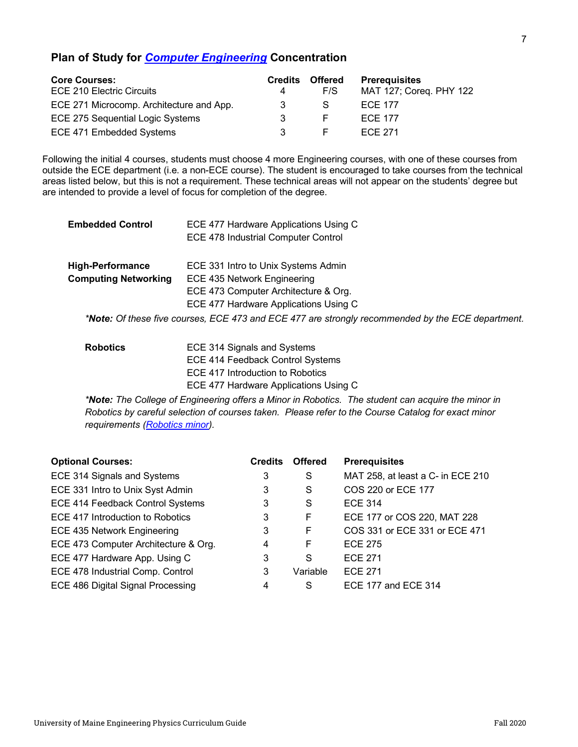## **Plan of Study for** *Computer Engineering* **Concentration**

| <b>Core Courses:</b>                     | <b>Credits</b> | <b>Offered</b> | <b>Prerequisites</b>    |
|------------------------------------------|----------------|----------------|-------------------------|
| <b>ECE 210 Electric Circuits</b>         |                | F/S            | MAT 127; Coreq. PHY 122 |
| ECE 271 Microcomp. Architecture and App. |                | S              | <b>ECE 177</b>          |
| ECE 275 Sequential Logic Systems         |                |                | <b>ECE 177</b>          |
| ECE 471 Embedded Systems                 |                |                | <b>ECE 271</b>          |

Following the initial 4 courses, students must choose 4 more Engineering courses, with one of these courses from outside the ECE department (i.e. a non-ECE course). The student is encouraged to take courses from the technical areas listed below, but this is not a requirement. These technical areas will not appear on the students' degree but are intended to provide a level of focus for completion of the degree.

| <b>Embedded Control</b>     | ECE 477 Hardware Applications Using C                                                             |  |  |  |  |  |
|-----------------------------|---------------------------------------------------------------------------------------------------|--|--|--|--|--|
|                             | <b>ECE 478 Industrial Computer Control</b>                                                        |  |  |  |  |  |
| <b>High-Performance</b>     | ECE 331 Intro to Unix Systems Admin                                                               |  |  |  |  |  |
| <b>Computing Networking</b> | ECE 435 Network Engineering                                                                       |  |  |  |  |  |
|                             | ECE 473 Computer Architecture & Org.                                                              |  |  |  |  |  |
|                             | ECE 477 Hardware Applications Using C                                                             |  |  |  |  |  |
|                             | *Note: Of these five courses, ECE 473 and ECE 477 are strongly recommended by the ECE department. |  |  |  |  |  |
| <b>Robotics</b>             | ECE 314 Signals and Systems                                                                       |  |  |  |  |  |
|                             | ECE 414 Feedback Control Systems                                                                  |  |  |  |  |  |

*\*Note: The College of Engineering offers a Minor in Robotics. The student can acquire the minor in Robotics by careful selection of courses taken. Please refer to the Course Catalog for exact minor requirements (Robotics minor).*

| <b>Optional Courses:</b>             | <b>Credits</b> | <b>Offered</b> | <b>Prerequisites</b>              |
|--------------------------------------|----------------|----------------|-----------------------------------|
| ECE 314 Signals and Systems          | 3              | S              | MAT 258, at least a C- in ECE 210 |
| ECE 331 Intro to Unix Syst Admin     | 3              | S              | COS 220 or ECE 177                |
| ECE 414 Feedback Control Systems     | 3              | S              | <b>ECE 314</b>                    |
| ECE 417 Introduction to Robotics     | 3              | F              | ECE 177 or COS 220, MAT 228       |
| ECE 435 Network Engineering          | 3              | F              | COS 331 or ECE 331 or ECE 471     |
| ECE 473 Computer Architecture & Org. | 4              | F              | <b>ECE 275</b>                    |
| ECE 477 Hardware App. Using C        | 3              | S              | <b>ECE 271</b>                    |
| ECE 478 Industrial Comp. Control     | 3              | Variable       | <b>ECE 271</b>                    |
| ECE 486 Digital Signal Processing    | 4              | S              | ECE 177 and ECE 314               |

ECE 417 Introduction to Robotics

ECE 477 Hardware Applications Using C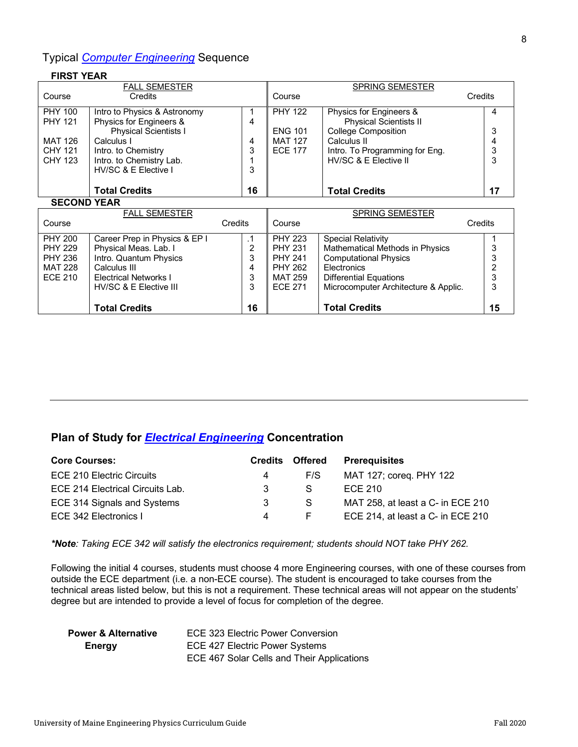# Typical *Computer Engineering* Sequence

**Total Credits**

#### **FIRST YEAR**

| <b>FALL SEMESTER</b> |                               |    | <b>SPRING SEMESTER</b> |                                      |         |  |
|----------------------|-------------------------------|----|------------------------|--------------------------------------|---------|--|
| Course               | Credits                       |    | Course                 |                                      | Credits |  |
| <b>PHY 100</b>       | Intro to Physics & Astronomy  |    | <b>PHY 122</b>         | Physics for Engineers &              | 4       |  |
| <b>PHY 121</b>       | Physics for Engineers &       | 4  |                        | <b>Physical Scientists II</b>        |         |  |
|                      | <b>Physical Scientists I</b>  |    | <b>ENG 101</b>         | <b>College Composition</b>           | 3       |  |
| <b>MAT 126</b>       | Calculus I                    | 4  | <b>MAT 127</b>         | Calculus II                          | 4       |  |
| <b>CHY 121</b>       | Intro. to Chemistry           | 3  | <b>ECE 177</b>         | Intro. To Programming for Eng.       | 3       |  |
| <b>CHY 123</b>       | Intro. to Chemistry Lab.      |    |                        | HV/SC & E Elective II                | 3       |  |
|                      | HV/SC & E Elective I          | 3  |                        |                                      |         |  |
|                      |                               |    |                        |                                      |         |  |
|                      | <b>Total Credits</b>          | 16 |                        | <b>Total Credits</b>                 | 17      |  |
| <b>SECOND YEAR</b>   |                               |    |                        |                                      |         |  |
|                      | <b>FALL SEMESTER</b>          |    |                        | <b>SPRING SEMESTER</b>               |         |  |
| Course               | Credits                       |    | Course                 |                                      | Credits |  |
| <b>PHY 200</b>       | Career Prep in Physics & EP I | .1 | <b>PHY 223</b>         | Special Relativity                   |         |  |
| <b>PHY 229</b>       | Physical Meas. Lab. I         | 2  | <b>PHY 231</b>         | Mathematical Methods in Physics      | 3       |  |
| <b>PHY 236</b>       | Intro. Quantum Physics        | 3  | <b>PHY 241</b>         | <b>Computational Physics</b>         | 3       |  |
| <b>MAT 228</b>       | Calculus III                  | 4  | <b>PHY 262</b>         | Electronics                          |         |  |
| <b>ECE 210</b>       | <b>Electrical Networks I</b>  | 3  | MAT 259                | <b>Differential Equations</b>        | 3       |  |
|                      | HV/SC & E Elective III        | 3  | <b>ECE 271</b>         | Microcomputer Architecture & Applic. | 3       |  |

**Total Credits**

**16**

# **Plan of Study for** *Electrical Engineering* **Concentration**

| <b>Core Courses:</b>             | <b>Credits</b> | <b>Offered</b> | <b>Prerequisites</b>              |
|----------------------------------|----------------|----------------|-----------------------------------|
| ECE 210 Electric Circuits        | 4              | F/S            | MAT 127; coreq. PHY 122           |
| ECE 214 Electrical Circuits Lab. | 3              | S.             | ECE 210                           |
| ECE 314 Signals and Systems      | 3              | S.             | MAT 258, at least a C- in ECE 210 |
| ECE 342 Electronics I            | 4              |                | ECE 214, at least a C- in ECE 210 |

*\*Note: Taking ECE 342 will satisfy the electronics requirement; students should NOT take PHY 262.*

Following the initial 4 courses, students must choose 4 more Engineering courses, with one of these courses from outside the ECE department (i.e. a non-ECE course). The student is encouraged to take courses from the technical areas listed below, but this is not a requirement. These technical areas will not appear on the students' degree but are intended to provide a level of focus for completion of the degree.

| <b>Power &amp; Alternative</b> | ECE 323 Electric Power Conversion          |
|--------------------------------|--------------------------------------------|
| Energy                         | ECE 427 Electric Power Systems             |
|                                | ECE 467 Solar Cells and Their Applications |

**15**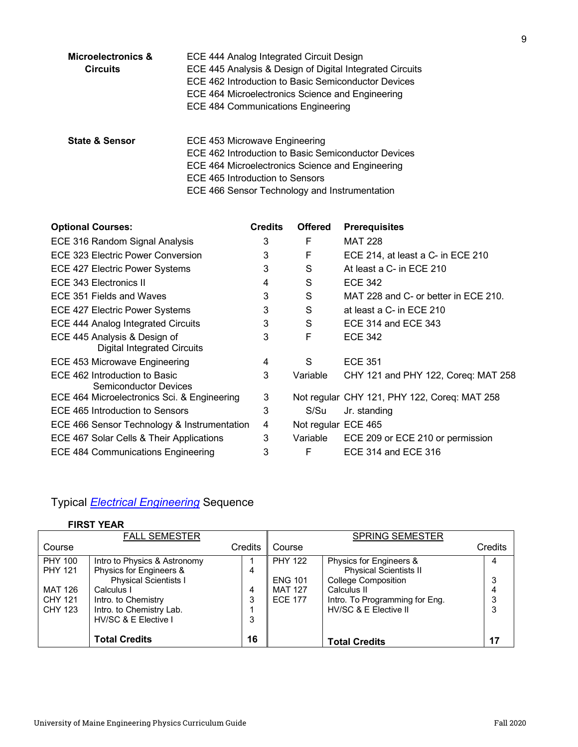| Microelectronics &<br><b>Circuits</b> | ECE 444 Analog Integrated Circuit Design<br>ECE 445 Analysis & Design of Digital Integrated Circuits<br>ECE 462 Introduction to Basic Semiconductor Devices<br>ECE 464 Microelectronics Science and Engineering<br><b>ECE 484 Communications Engineering</b> |
|---------------------------------------|--------------------------------------------------------------------------------------------------------------------------------------------------------------------------------------------------------------------------------------------------------------|
| <b>State &amp; Sensor</b>             | ECE 453 Microwave Engineering<br>ECE 462 Introduction to Basic Semiconductor Devices<br>ECE 464 Microelectronics Science and Engineering<br>ECE 465 Introduction to Sensors                                                                                  |

| <b>Optional Courses:</b>                                           | <b>Credits</b> | <b>Offered</b>      | <b>Prerequisites</b>                         |
|--------------------------------------------------------------------|----------------|---------------------|----------------------------------------------|
| ECE 316 Random Signal Analysis                                     | 3              | F                   | <b>MAT 228</b>                               |
| ECE 323 Electric Power Conversion                                  | 3              | F                   | ECE 214, at least a C- in ECE 210            |
| <b>ECE 427 Electric Power Systems</b>                              | 3              | S                   | At least a C- in ECE 210                     |
| ECE 343 Electronics II                                             | 4              | S                   | <b>ECE 342</b>                               |
| ECE 351 Fields and Waves                                           | 3              | S                   | MAT 228 and C- or better in ECE 210.         |
| <b>ECE 427 Electric Power Systems</b>                              | 3              | S                   | at least a C- in ECE 210                     |
| ECE 444 Analog Integrated Circuits                                 | 3              | S                   | ECE 314 and ECE 343                          |
| ECE 445 Analysis & Design of<br><b>Digital Integrated Circuits</b> | 3              | F                   | <b>ECE 342</b>                               |
| ECE 453 Microwave Engineering                                      | 4              | S                   | <b>ECE 351</b>                               |
| ECE 462 Introduction to Basic<br>Semiconductor Devices             | 3              | Variable            | CHY 121 and PHY 122, Coreq: MAT 258          |
| ECE 464 Microelectronics Sci. & Engineering                        | 3              |                     | Not regular CHY 121, PHY 122, Coreq: MAT 258 |
| ECE 465 Introduction to Sensors                                    | 3              | S/Su                | Jr. standing                                 |
| ECE 466 Sensor Technology & Instrumentation                        | 4              | Not regular ECE 465 |                                              |
| ECE 467 Solar Cells & Their Applications                           | 3              | Variable            | ECE 209 or ECE 210 or permission             |
| ECE 484 Communications Engineering                                 | 3              | F                   | ECE 314 and ECE 316                          |

# Typical *Electrical Engineering* Sequence

# **FIRST YEAR**

|                                                                                 | <b>FALL SEMESTER</b>                                                                                                                                                             |                  |                                                                      | <b>SPRING SEMESTER</b>                                                                                                                                           |                       |
|---------------------------------------------------------------------------------|----------------------------------------------------------------------------------------------------------------------------------------------------------------------------------|------------------|----------------------------------------------------------------------|------------------------------------------------------------------------------------------------------------------------------------------------------------------|-----------------------|
| Course                                                                          |                                                                                                                                                                                  | Credits          | Course                                                               |                                                                                                                                                                  | Credits               |
| <b>PHY 100</b><br><b>PHY 121</b><br>MAT 126<br><b>CHY 121</b><br><b>CHY 123</b> | Intro to Physics & Astronomy<br>Physics for Engineers &<br><b>Physical Scientists I</b><br>Calculus I<br>Intro. to Chemistry<br>Intro. to Chemistry Lab.<br>HV/SC & E Elective I | 4<br>4<br>3<br>3 | <b>PHY 122</b><br><b>ENG 101</b><br><b>MAT 127</b><br><b>ECE 177</b> | Physics for Engineers &<br><b>Physical Scientists II</b><br><b>College Composition</b><br>Calculus II<br>Intro. To Programming for Eng.<br>HV/SC & E Elective II | 4<br>3<br>4<br>3<br>3 |
|                                                                                 | <b>Total Credits</b>                                                                                                                                                             | 16               |                                                                      | <b>Total Credits</b>                                                                                                                                             | 17                    |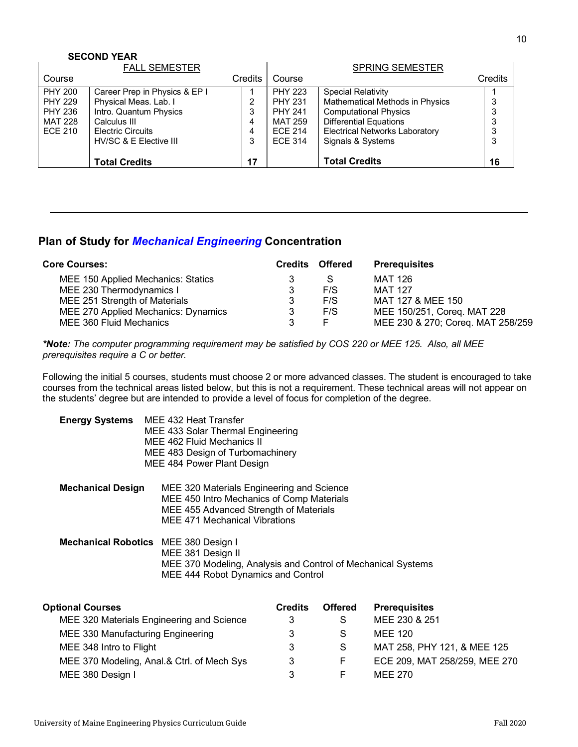#### **SECOND YEAR**

|                | <b>FALL SEMESTER</b>          |                |                | <b>SPRING SEMESTER</b>                 |         |
|----------------|-------------------------------|----------------|----------------|----------------------------------------|---------|
| Course         |                               | <b>Credits</b> | Course         |                                        | Credits |
| <b>PHY 200</b> | Career Prep in Physics & EP I |                | <b>PHY 223</b> | <b>Special Relativity</b>              |         |
| <b>PHY 229</b> | Physical Meas. Lab. I         | 2              | <b>PHY 231</b> | <b>Mathematical Methods in Physics</b> |         |
| <b>PHY 236</b> | Intro. Quantum Physics        | 3              | <b>PHY 241</b> | <b>Computational Physics</b>           |         |
| <b>MAT 228</b> | Calculus III                  | 4              | MAT 259        | <b>Differential Equations</b>          |         |
| <b>ECE 210</b> | <b>Electric Circuits</b>      | 4              | <b>ECE 214</b> | <b>Electrical Networks Laboratory</b>  | 3       |
|                | HV/SC & E Elective III        | 3              | <b>ECE 314</b> | Signals & Systems                      | 3       |
|                |                               |                |                |                                        |         |
|                | <b>Total Credits</b>          | 17             |                | <b>Total Credits</b>                   | 16      |

# **Plan of Study for** *Mechanical Engineering* **Concentration**

| <b>Core Courses:</b>                |   | <b>Credits Offered</b> | <b>Prerequisites</b>              |
|-------------------------------------|---|------------------------|-----------------------------------|
| MEE 150 Applied Mechanics: Statics  |   |                        | MAT 126                           |
| MEE 230 Thermodynamics I            |   | F/S                    | MAT 127                           |
| MEE 251 Strength of Materials       | 3 | F/S                    | MAT 127 & MEE 150                 |
| MEE 270 Applied Mechanics: Dynamics | 3 | F/S                    | MEE 150/251, Coreg. MAT 228       |
| MEE 360 Fluid Mechanics             |   |                        | MEE 230 & 270; Coreq. MAT 258/259 |

*\*Note: The computer programming requirement may be satisfied by COS 220 or MEE 125. Also, all MEE prerequisites require a C or better.*

Following the initial 5 courses, students must choose 2 or more advanced classes. The student is encouraged to take courses from the technical areas listed below, but this is not a requirement. These technical areas will not appear on the students' degree but are intended to provide a level of focus for completion of the degree.

| <b>Energy Systems</b>    | MEE 432 Heat Transfer<br>MEE 433 Solar Thermal Engineering<br>MEE 462 Fluid Mechanics II<br>MEE 483 Design of Turbomachinery<br>MEE 484 Power Plant Design               |
|--------------------------|--------------------------------------------------------------------------------------------------------------------------------------------------------------------------|
| <b>Mechanical Design</b> | MEE 320 Materials Engineering and Science<br>MEE 450 Intro Mechanics of Comp Materials<br>MEE 455 Advanced Strength of Materials<br><b>MEE 471 Mechanical Vibrations</b> |
|                          | <b>Mechanical Robotics</b> MEE 380 Design I<br>MEE 381 Design II<br>MEE 370 Modeling, Analysis and Control of Mechanical Systems<br>MEE 444 Robot Dynamics and Control   |
| fianal Cauraga           | $C$ <sub>rodito</sub><br>Offored Dresseuisites                                                                                                                           |

| <b>Optional Courses</b>                    | <b>Credits</b> | <b>Offered</b> | <b>Prerequisites</b>          |
|--------------------------------------------|----------------|----------------|-------------------------------|
| MEE 320 Materials Engineering and Science  |                |                | MEE 230 & 251                 |
| MEE 330 Manufacturing Engineering          |                |                | MEE 120                       |
| MEE 348 Intro to Flight                    | 3              |                | MAT 258, PHY 121, & MEE 125   |
| MEE 370 Modeling, Anal.& Ctrl. of Mech Sys | 3              |                | ECE 209, MAT 258/259, MEE 270 |
| MEE 380 Design I                           |                |                | <b>MEE 270</b>                |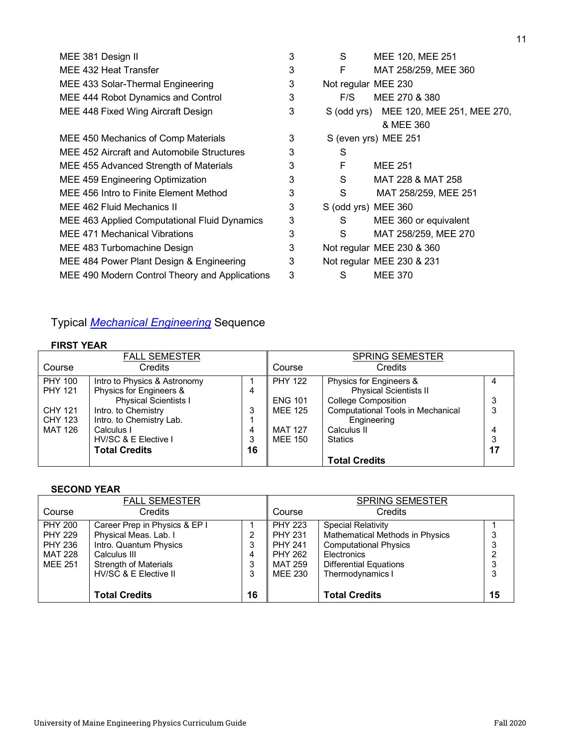| 3 | S                   | MEE 120, MEE 251                       |
|---|---------------------|----------------------------------------|
| 3 | F                   | MAT 258/259, MEE 360                   |
| 3 | Not regular MEE 230 |                                        |
| 3 | F/S                 | MEE 270 & 380                          |
| 3 |                     | S (odd yrs) MEE 120, MEE 251, MEE 270, |
|   |                     | & MEE 360                              |
| 3 |                     | S (even yrs) MEE 251                   |
| 3 | S                   |                                        |
| 3 | F                   | <b>MEE 251</b>                         |
| 3 | S                   | MAT 228 & MAT 258                      |
| 3 | S                   | MAT 258/259, MEE 251                   |
| 3 | S (odd yrs) MEE 360 |                                        |
| 3 | S.                  | MEE 360 or equivalent                  |
| 3 | S                   | MAT 258/259, MEE 270                   |
| 3 |                     | Not regular MEE 230 & 360              |
| 3 |                     | Not regular MEE 230 & 231              |
| 3 | S                   | <b>MEE 370</b>                         |
|   |                     |                                        |

# Typical *Mechanical Engineering* Sequence

## **FIRST YEAR**

|                | <b>FALL SEMESTER</b>         |    |                | <b>SPRING SEMESTER</b>                   |    |
|----------------|------------------------------|----|----------------|------------------------------------------|----|
| Course         | Credits                      |    | Course         | Credits                                  |    |
| <b>PHY 100</b> | Intro to Physics & Astronomy |    | <b>PHY 122</b> | Physics for Engineers &                  | 4  |
| <b>PHY 121</b> | Physics for Engineers &      | 4  |                | <b>Physical Scientists II</b>            |    |
|                | <b>Physical Scientists I</b> |    | <b>ENG 101</b> | <b>College Composition</b>               | 3  |
| <b>CHY 121</b> | Intro. to Chemistry          | 3  | <b>MEE 125</b> | <b>Computational Tools in Mechanical</b> | 3  |
| CHY 123        | Intro. to Chemistry Lab.     |    |                | Engineering                              |    |
| <b>MAT 126</b> | Calculus I                   | 4  | <b>MAT 127</b> | Calculus II                              | 4  |
|                | HV/SC & E Elective I         | 3  | MEE 150        | <b>Statics</b>                           | 3  |
|                | <b>Total Credits</b>         | 16 |                |                                          | 17 |
|                |                              |    |                | <b>Total Credits</b>                     |    |

## **SECOND YEAR**

|                | <b>FALL SEMESTER</b>          |    |                | <b>SPRING SEMESTER</b>                 |    |
|----------------|-------------------------------|----|----------------|----------------------------------------|----|
| Course         | Credits                       |    | Course         | Credits                                |    |
| <b>PHY 200</b> | Career Prep in Physics & EP I |    | <b>PHY 223</b> | <b>Special Relativity</b>              |    |
| <b>PHY 229</b> | Physical Meas. Lab. I         | 2  | <b>PHY 231</b> | <b>Mathematical Methods in Physics</b> |    |
| <b>PHY 236</b> | Intro. Quantum Physics        | 3  | <b>PHY 241</b> | <b>Computational Physics</b>           |    |
| MAT 228        | Calculus III                  | 4  | <b>PHY 262</b> | Electronics                            |    |
| <b>MEE 251</b> | <b>Strength of Materials</b>  | 3  | MAT 259        | <b>Differential Equations</b>          |    |
|                | HV/SC & E Elective II         | 3  | MEE 230        | Thermodynamics I                       |    |
|                |                               |    |                |                                        |    |
|                | <b>Total Credits</b>          | 16 |                | <b>Total Credits</b>                   | 15 |